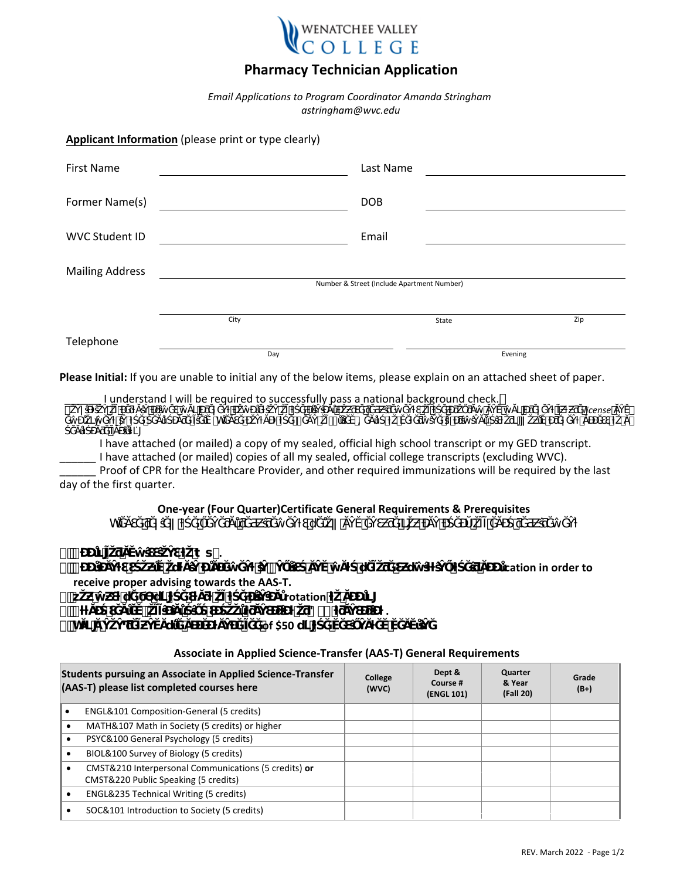

# **Pharmacy Technician Application**

*Email Applications to Program Coordinator Amanda Stringham astringham@wvc.edu*

**Applicant Information** (please print or type clearly)

| <b>First Name</b>                          |      | Last Name  |         |  |  |
|--------------------------------------------|------|------------|---------|--|--|
| Former Name(s)                             |      | <b>DOB</b> |         |  |  |
| <b>WVC Student ID</b>                      |      | Email      |         |  |  |
| <b>Mailing Address</b>                     |      |            |         |  |  |
| Number & Street (Include Apartment Number) |      |            |         |  |  |
|                                            | City | State      | Zip     |  |  |
| Telephone                                  | Day  |            | Evening |  |  |

**Please Initial:** If you are unable to initial any of the below items, please explain on an attached sheet of paper.

|  |  |  |  |  | I understand I will be required to successfully pass a national background check.                             |  |         |  |
|--|--|--|--|--|---------------------------------------------------------------------------------------------------------------|--|---------|--|
|  |  |  |  |  |                                                                                                               |  | license |  |
|  |  |  |  |  | 1000 - 1000 - 1000 - 1000 - 1000 - 1000 - 1000 - 1000 - 1000 - 1000 - 1000 - 1000 - 1000 - 1000 - 1000 - 1000 |  |         |  |

*ŚĞĂůƚŚĐĂƌĞĨĂĐŝůŝƚLJ͘* I have attached (or mailed) a copy of my sealed, official high school transcript or my GED transcript. I have attached (or mailed) copies of all my sealed, official college transcripts (excluding WVC). Proof of CPR for the Healthcare Provider, and other required immunizations will be required by the last day of the first quarter.

## **One-year (Four Quarter)Certificate General Requirements & Prerequisites**

Wü∰Ğ₩Ä

# **t f f #**

ication in order to

# **receive proper advising towards the AAS-T.**

**b s c**  $\mathbf{z}$  rotation<sup></sup> **rotation** 

# **පƚƚĂĐŚƐĞĂůĞĚ͕ŽĨĨŝĐŝĂůŚŝŐŚƐĐŚŽŽůƚƌĂŶƐĐƌŝƉƚŽƌ'ƚƌĂŶƐĐƌŝƉƚ .**

**පWĂLJĂŶŽŶͲƌĞĨƵŶĚĂďůĞĂĐĐĞƉƚĂŶĐĞĨĞĞof \$50 ďLJƚŚĞĚĞƐŝŐŶĂƚĞĚĚĞĂĚůŝŶĞ.**

#### **Students pursuing an Associate in Applied Science-Transfer (AAS-T) please list completed courses here College (WVC) Dept & Course # (ENGL 101) Quarter & Year (Fall 20) Grade (B+)**  • ENGL&101 Composition-General (5 credits) • MATH&107 Math in Society (5 credits) or higher • PSYC&100 General Psychology (5 credits) • BIOL&100 Survey of Biology (5 credits) • CMST&210 Interpersonal Communications (5 credits) **or** CMST&220 Public Speaking (5 credits) • ENGL&235 Technical Writing (5 credits) • SOC&101 Introduction to Society (5 credits)

#### **Associate in Applied Science-Transfer (AAS-T) General Requirements**